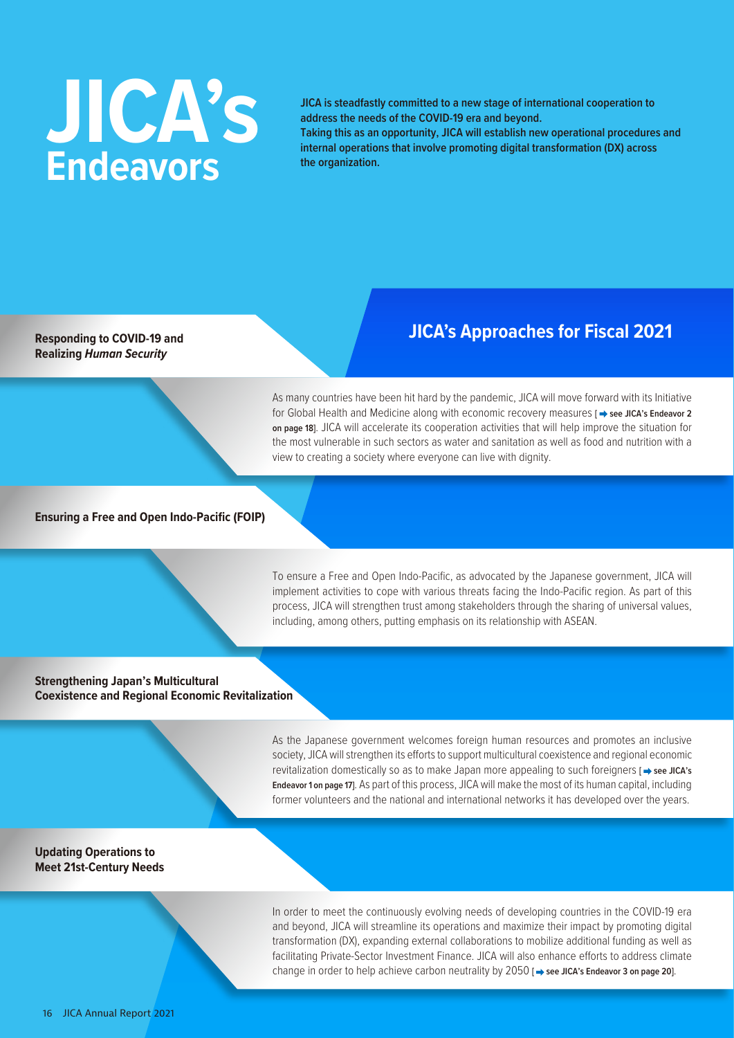# **JICA's Endeavors**

**JICA is steadfastly committed to a new stage of international cooperation to address the needs of the COVID-19 era and beyond.** 

**Taking this as an opportunity, JICA will establish new operational procedures and internal operations that involve promoting digital transformation (DX) across the organization.**

**Realizing** *Human Security*

### **Responding to COVID-19 and** <br>**Responding to COVID-19 and Responding to COVID-19 and**

As many countries have been hit hard by the pandemic, JICA will move forward with its Initiative for Global Health and Medicine along with economic recovery measures [  $\rightarrow$  see JICA's Endeavor 2 **on page 18]**. JICA will accelerate its cooperation activities that will help improve the situation for the most vulnerable in such sectors as water and sanitation as well as food and nutrition with a view to creating a society where everyone can live with dignity.

#### **Ensuring a Free and Open Indo-Pacific (FOIP)**

To ensure a Free and Open Indo-Pacific, as advocated by the Japanese government, JICA will implement activities to cope with various threats facing the Indo-Pacific region. As part of this process, JICA will strengthen trust among stakeholders through the sharing of universal values, including, among others, putting emphasis on its relationship with ASEAN.

#### **Strengthening Japan's Multicultural Coexistence and Regional Economic Revitalization**

As the Japanese government welcomes foreign human resources and promotes an inclusive society, JICA will strengthen its efforts to support multicultural coexistence and regional economic revitalization domestically so as to make Japan more appealing to such foreigners **[**  $\rightarrow$  **see JICA's Endeavor 1 on page 17]**. As part of this process, JICA will make the most of its human capital, including former volunteers and the national and international networks it has developed over the years.

#### **Updating Operations to Meet 21st-Century Needs**

In order to meet the continuously evolving needs of developing countries in the COVID-19 era and beyond, JICA will streamline its operations and maximize their impact by promoting digital transformation (DX), expanding external collaborations to mobilize additional funding as well as facilitating Private-Sector Investment Finance. JICA will also enhance efforts to address climate change in order to help achieve carbon neutrality by 2050 [ $\Rightarrow$  see JICA's Endeavor 3 on page 20].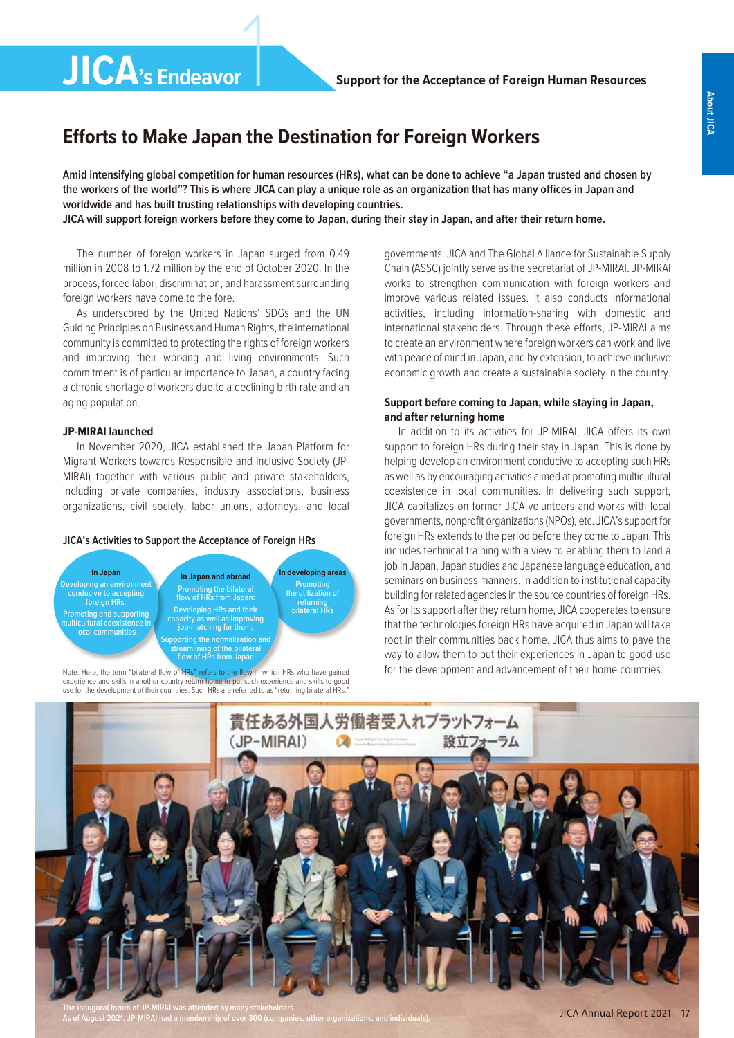## **Efforts to Make Japan the Destination for Foreign Workers**

1

**Amid intensifying global competition for human resources (HRs), what can be done to achieve "a Japan trusted and chosen by the workers of the world"? This is where JICA can play a unique role as an organization that has many offices in Japan and worldwide and has built trusting relationships with developing countries. JICA will support foreign workers before they come to Japan, during their stay in Japan, and after their return home.**

The number of foreign workers in Japan surged from 0.49 million in 2008 to 1.72 million by the end of October 2020. In the process, forced labor, discrimination, and harassment surrounding foreign workers have come to the fore.

**JICA's Endeavor**

As underscored by the United Nations' SDGs and the UN Guiding Principles on Business and Human Rights, the international community is committed to protecting the rights of foreign workers and improving their working and living environments. Such commitment is of particular importance to Japan, a country facing a chronic shortage of workers due to a declining birth rate and an aging population.

#### **JP-MIRAI launched**

In November 2020, JICA established the Japan Platform for Migrant Workers towards Responsible and Inclusive Society (JP-MIRAI) together with various public and private stakeholders, including private companies, industry associations, business organizations, civil society, labor unions, attorneys, and local

#### **JICA's Activities to Support the Acceptance of Foreign HRs**



Note: Here, the term "bilateral flow of HRs" refers to the flow in which HRs who have gained experience and skills in another country return home to put such experience and skills to good use for the development of their countries. Such HRs are referred to as "returning bilateral HRs.

governments. JICA and The Global Alliance for Sustainable Supply Chain (ASSC) jointly serve as the secretariat of JP-MIRAI. JP-MIRAI works to strengthen communication with foreign workers and improve various related issues. It also conducts informational activities, including information-sharing with domestic and international stakeholders. Through these efforts, JP-MIRAI aims to create an environment where foreign workers can work and live with peace of mind in Japan, and by extension, to achieve inclusive economic growth and create a sustainable society in the country.

#### **Support before coming to Japan, while staying in Japan, and after returning home**

In addition to its activities for JP-MIRAI, JICA offers its own support to foreign HRs during their stay in Japan. This is done by helping develop an environment conducive to accepting such HRs as well as by encouraging activities aimed at promoting multicultural coexistence in local communities. In delivering such support, JICA capitalizes on former JICA volunteers and works with local governments, nonprofit organizations (NPOs), etc. JICA's support for foreign HRs extends to the period before they come to Japan. This includes technical training with a view to enabling them to land a job in Japan, Japan studies and Japanese language education, and seminars on business manners, in addition to institutional capacity building for related agencies in the source countries of foreign HRs. As for its support after they return home, JICA cooperates to ensure that the technologies foreign HRs have acquired in Japan will take root in their communities back home. JICA thus aims to pave the way to allow them to put their experiences in Japan to good use for the development and advancement of their home countries.



**The inaugural forum of JP-MIRAI was attended by many stakeholders. As of August 2021, JP-MIRAI had a membership of over 300 (companies, other organizations, and individuals).**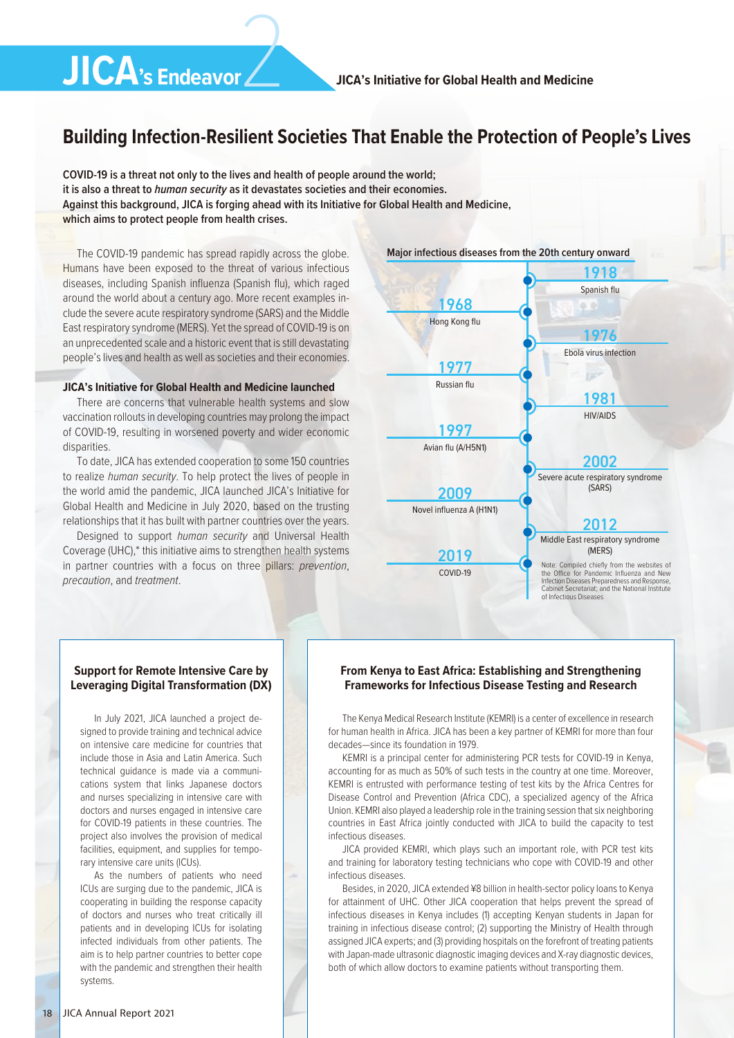## 2 **JICA's Endeavor**

### **Building Infection-Resilient Societies That Enable the Protection of People's Lives**

**COVID-19 is a threat not only to the lives and health of people around the world; it is also a threat to** *human security* **as it devastates societies and their economies. Against this background, JICA is forging ahead with its Initiative for Global Health and Medicine, which aims to protect people from health crises.**

The COVID-19 pandemic has spread rapidly across the globe. Humans have been exposed to the threat of various infectious diseases, including Spanish influenza (Spanish flu), which raged around the world about a century ago. More recent examples include the severe acute respiratory syndrome (SARS) and the Middle East respiratory syndrome (MERS). Yet the spread of COVID-19 is on an unprecedented scale and a historic event that is still devastating people's lives and health as well as societies and their economies.

#### **JICA's Initiative for Global Health and Medicine launched**

There are concerns that vulnerable health systems and slow vaccination rollouts in developing countries may prolong the impact of COVID-19, resulting in worsened poverty and wider economic disparities.

To date, JICA has extended cooperation to some 150 countries to realize *human security*. To help protect the lives of people in the world amid the pandemic, JICA launched JICA's Initiative for Global Health and Medicine in July 2020, based on the trusting relationships that it has built with partner countries over the years.

Designed to support *human security* and Universal Health Coverage (UHC),\* this initiative aims to strengthen health systems in partner countries with a focus on three pillars: *prevention*, *precaution*, and *treatment*.



In July 2021, JICA launched a project designed to provide training and technical advice on intensive care medicine for countries that include those in Asia and Latin America. Such technical guidance is made via a communications system that links Japanese doctors and nurses specializing in intensive care with doctors and nurses engaged in intensive care for COVID-19 patients in these countries. The project also involves the provision of medical facilities, equipment, and supplies for temporary intensive care units (ICUs).

As the numbers of patients who need ICUs are surging due to the pandemic, JICA is cooperating in building the response capacity of doctors and nurses who treat critically ill patients and in developing ICUs for isolating infected individuals from other patients. The aim is to help partner countries to better cope with the pandemic and strengthen their health systems.



#### **From Kenya to East Africa: Establishing and Strengthening Frameworks for Infectious Disease Testing and Research**

The Kenya Medical Research Institute (KEMRI) is a center of excellence in research for human health in Africa. JICA has been a key partner of KEMRI for more than four decades—since its foundation in 1979.

KEMRI is a principal center for administering PCR tests for COVID-19 in Kenya, accounting for as much as 50% of such tests in the country at one time. Moreover, KEMRI is entrusted with performance testing of test kits by the Africa Centres for Disease Control and Prevention (Africa CDC), a specialized agency of the Africa Union. KEMRI also played a leadership role in the training session that six neighboring countries in East Africa jointly conducted with JICA to build the capacity to test infectious diseases.

JICA provided KEMRI, which plays such an important role, with PCR test kits and training for laboratory testing technicians who cope with COVID-19 and other infectious diseases.

Besides, in 2020, JICA extended ¥8 billion in health-sector policy loans to Kenya for attainment of UHC. Other JICA cooperation that helps prevent the spread of infectious diseases in Kenya includes (1) accepting Kenyan students in Japan for training in infectious disease control; (2) supporting the Ministry of Health through assigned JICA experts; and (3) providing hospitals on the forefront of treating patients with Japan-made ultrasonic diagnostic imaging devices and X-ray diagnostic devices, both of which allow doctors to examine patients without transporting them.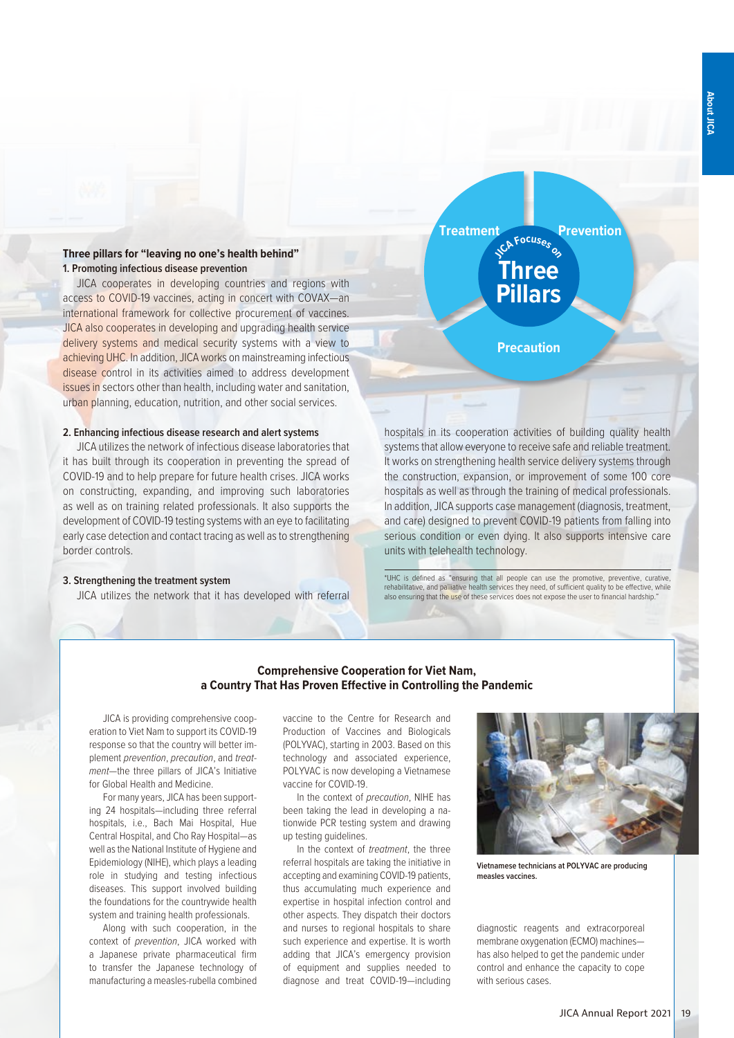#### **Three pillars for "leaving no one's health behind" 1. Promoting infectious disease prevention**

JICA cooperates in developing countries and regions with access to COVID-19 vaccines, acting in concert with COVAX—an international framework for collective procurement of vaccines. JICA also cooperates in developing and upgrading health service delivery systems and medical security systems with a view to achieving UHC. In addition, JICA works on mainstreaming infectious disease control in its activities aimed to address development issues in sectors other than health, including water and sanitation, urban planning, education, nutrition, and other social services.

#### **2. Enhancing infectious disease research and alert systems**

JICA utilizes the network of infectious disease laboratories that it has built through its cooperation in preventing the spread of COVID-19 and to help prepare for future health crises. JICA works on constructing, expanding, and improving such laboratories as well as on training related professionals. It also supports the development of COVID-19 testing systems with an eye to facilitating early case detection and contact tracing as well as to strengthening border controls.

#### **3. Strengthening the treatment system**

JICA utilizes the network that it has developed with referral



systems that allow everyone to receive safe and reliable treatment. It works on strengthening health service delivery systems through the construction, expansion, or improvement of some 100 core hospitals as well as through the training of medical professionals. In addition, JICA supports case management (diagnosis, treatment, and care) designed to prevent COVID-19 patients from falling into serious condition or even dying. It also supports intensive care units with telehealth technology.

\*UHC is defined as "ensuring that all people can use the promotive, preventive, curative, rehabilitative, and palliative health services they need, of sufficient quality to be effective, while also ensuring that the use of these services does not expose the user to financial hardship."

#### **Comprehensive Cooperation for Viet Nam, a Country That Has Proven Effective in Controlling the Pandemic**

JICA is providing comprehensive cooperation to Viet Nam to support its COVID-19 response so that the country will better implement *prevention*, *precaution*, and *treatment*—the three pillars of JICA's Initiative for Global Health and Medicine.

For many years, JICA has been supporting 24 hospitals—including three referral hospitals, i.e., Bach Mai Hospital, Hue Central Hospital, and Cho Ray Hospital—as well as the National Institute of Hygiene and Epidemiology (NIHE), which plays a leading role in studying and testing infectious diseases. This support involved building the foundations for the countrywide health system and training health professionals.

Along with such cooperation, in the context of *prevention*, JICA worked with a Japanese private pharmaceutical firm to transfer the Japanese technology of manufacturing a measles-rubella combined vaccine to the Centre for Research and Production of Vaccines and Biologicals (POLYVAC), starting in 2003. Based on this technology and associated experience, POLYVAC is now developing a Vietnamese vaccine for COVID-19.

In the context of *precaution*, NIHE has been taking the lead in developing a nationwide PCR testing system and drawing up testing guidelines.

In the context of *treatment*, the three referral hospitals are taking the initiative in accepting and examining COVID-19 patients, thus accumulating much experience and expertise in hospital infection control and other aspects. They dispatch their doctors and nurses to regional hospitals to share such experience and expertise. It is worth adding that JICA's emergency provision of equipment and supplies needed to diagnose and treat COVID-19—including



**Vietnamese technicians at POLYVAC are producing measles vaccines.**

diagnostic reagents and extracorporeal membrane oxygenation (ECMO) machines has also helped to get the pandemic under control and enhance the capacity to cope with serious cases.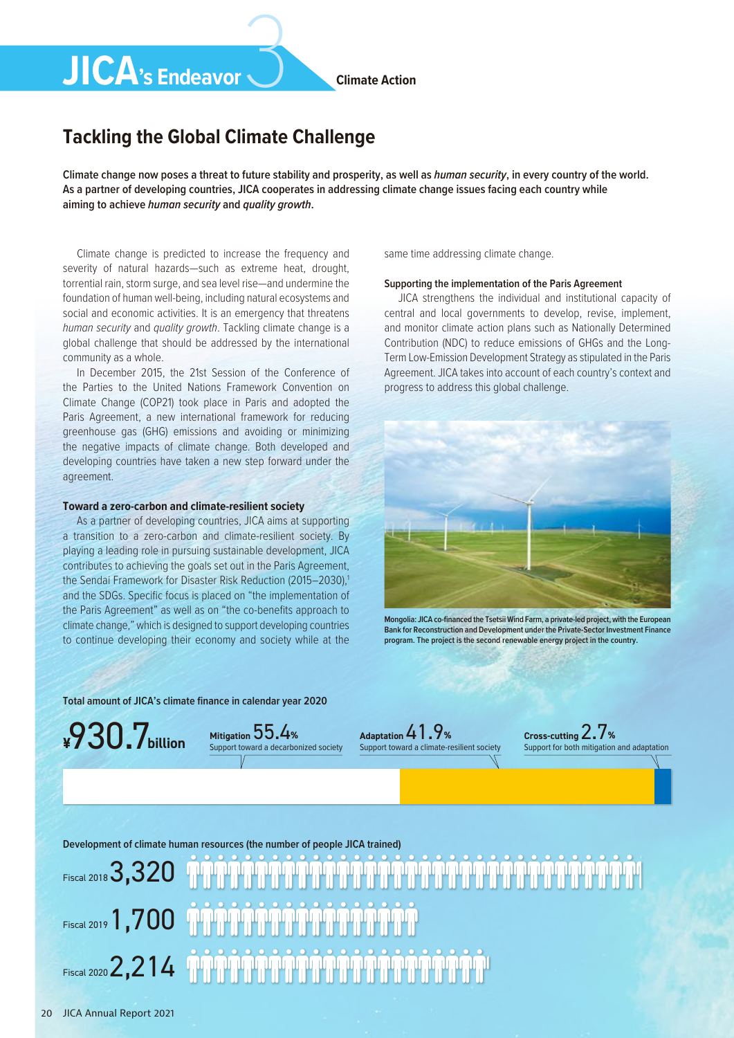#### **Climate Action**

## 3 **JICA's Endeavor**

## **Tackling the Global Climate Challenge**

**Climate change now poses a threat to future stability and prosperity, as well as** *human security***, in every country of the world. As a partner of developing countries, JICA cooperates in addressing climate change issues facing each country while aiming to achieve** *human security* **and** *quality growth***.**

Climate change is predicted to increase the frequency and severity of natural hazards—such as extreme heat, drought, torrential rain, storm surge, and sea level rise—and undermine the foundation of human well-being, including natural ecosystems and social and economic activities. It is an emergency that threatens *human security* and *quality growth*. Tackling climate change is a global challenge that should be addressed by the international community as a whole.

In December 2015, the 21st Session of the Conference of the Parties to the United Nations Framework Convention on Climate Change (COP21) took place in Paris and adopted the Paris Agreement, a new international framework for reducing greenhouse gas (GHG) emissions and avoiding or minimizing the negative impacts of climate change. Both developed and developing countries have taken a new step forward under the agreement.

#### **Toward a zero-carbon and climate-resilient society**

As a partner of developing countries, JICA aims at supporting a transition to a zero-carbon and climate-resilient society. By playing a leading role in pursuing sustainable development, JICA contributes to achieving the goals set out in the Paris Agreement, the Sendai Framework for Disaster Risk Reduction (2015–2030).<sup>1</sup> and the SDGs. Specific focus is placed on "the implementation of the Paris Agreement" as well as on "the co-benefits approach to climate change," which is designed to support developing countries to continue developing their economy and society while at the

same time addressing climate change.

#### **Supporting the implementation of the Paris Agreement**

JICA strengthens the individual and institutional capacity of central and local governments to develop, revise, implement, and monitor climate action plans such as Nationally Determined Contribution (NDC) to reduce emissions of GHGs and the Long-Term Low-Emission Development Strategy as stipulated in the Paris Agreement. JICA takes into account of each country's context and progress to address this global challenge.



**Mongolia: JICA co-financed the Tsetsii Wind Farm, a private-led project, with the European Bank for Reconstruction and Development under the Private-Sector Investment Finance program. The project is the second renewable energy project in the country.**

**Total amount of JICA's climate finance in calendar year 2020**



**Mitigation** 55.4**%** Support toward a decarbonized society **Adaptation** 41.9**%** Support toward a climate-resilient society **Cross-cutting** 2.7**%** Support for both mitigation and adaptation

**Development of climate human resources (the number of people JICA trained)**